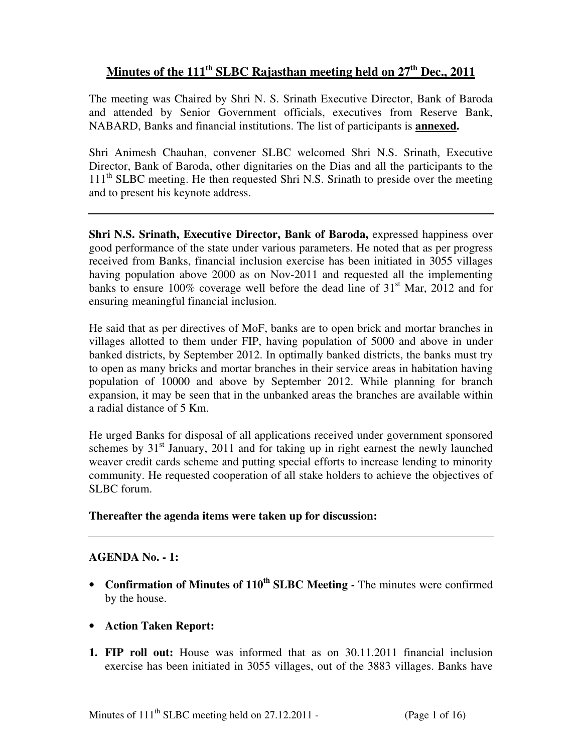## **Minutes of the 111th SLBC Rajasthan meeting held on 27th Dec., 2011**

The meeting was Chaired by Shri N. S. Srinath Executive Director, Bank of Baroda and attended by Senior Government officials, executives from Reserve Bank, NABARD, Banks and financial institutions. The list of participants is **annexed.**

Shri Animesh Chauhan, convener SLBC welcomed Shri N.S. Srinath, Executive Director, Bank of Baroda, other dignitaries on the Dias and all the participants to the  $111<sup>th</sup>$  SLBC meeting. He then requested Shri N.S. Srinath to preside over the meeting and to present his keynote address.

**Shri N.S. Srinath, Executive Director, Bank of Baroda, expressed happiness over** good performance of the state under various parameters. He noted that as per progress received from Banks, financial inclusion exercise has been initiated in 3055 villages having population above 2000 as on Nov-2011 and requested all the implementing banks to ensure 100% coverage well before the dead line of  $31<sup>st</sup>$  Mar, 2012 and for ensuring meaningful financial inclusion.

He said that as per directives of MoF, banks are to open brick and mortar branches in villages allotted to them under FIP, having population of 5000 and above in under banked districts, by September 2012. In optimally banked districts, the banks must try to open as many bricks and mortar branches in their service areas in habitation having population of 10000 and above by September 2012. While planning for branch expansion, it may be seen that in the unbanked areas the branches are available within a radial distance of 5 Km.

He urged Banks for disposal of all applications received under government sponsored schemes by  $31<sup>st</sup>$  January, 2011 and for taking up in right earnest the newly launched weaver credit cards scheme and putting special efforts to increase lending to minority community. He requested cooperation of all stake holders to achieve the objectives of SLBC forum.

## **Thereafter the agenda items were taken up for discussion:**

## **AGENDA No. - 1:**

- **Confirmation of Minutes of 110th SLBC Meeting** The minutes were confirmed by the house.
- **Action Taken Report:**
- **1. FIP roll out:** House was informed that as on 30.11.2011 financial inclusion exercise has been initiated in 3055 villages, out of the 3883 villages. Banks have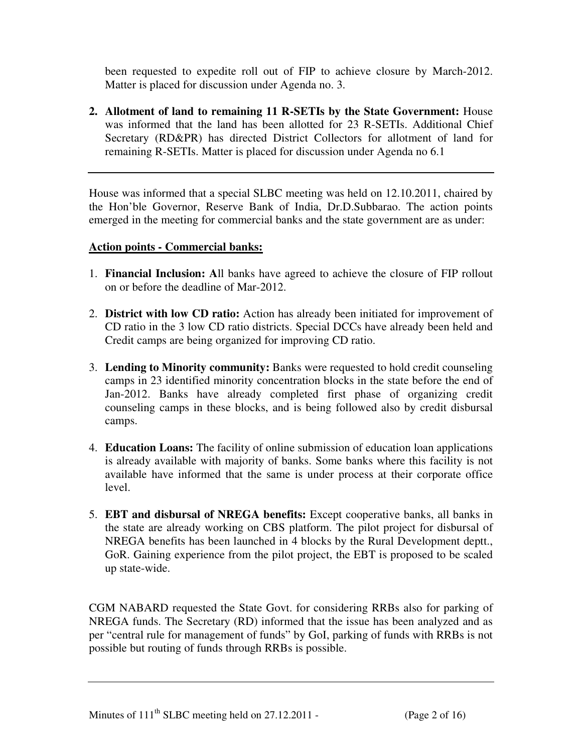been requested to expedite roll out of FIP to achieve closure by March-2012. Matter is placed for discussion under Agenda no. 3.

**2. Allotment of land to remaining 11 R-SETIs by the State Government:** House was informed that the land has been allotted for 23 R-SETIs. Additional Chief Secretary (RD&PR) has directed District Collectors for allotment of land for remaining R-SETIs. Matter is placed for discussion under Agenda no 6.1

House was informed that a special SLBC meeting was held on 12.10.2011, chaired by the Hon'ble Governor, Reserve Bank of India, Dr.D.Subbarao. The action points emerged in the meeting for commercial banks and the state government are as under:

## **Action points - Commercial banks:**

- 1. **Financial Inclusion: A**ll banks have agreed to achieve the closure of FIP rollout on or before the deadline of Mar-2012.
- 2. **District with low CD ratio:** Action has already been initiated for improvement of CD ratio in the 3 low CD ratio districts. Special DCCs have already been held and Credit camps are being organized for improving CD ratio.
- 3. **Lending to Minority community:** Banks were requested to hold credit counseling camps in 23 identified minority concentration blocks in the state before the end of Jan-2012. Banks have already completed first phase of organizing credit counseling camps in these blocks, and is being followed also by credit disbursal camps.
- 4. **Education Loans:** The facility of online submission of education loan applications is already available with majority of banks. Some banks where this facility is not available have informed that the same is under process at their corporate office level.
- 5. **EBT and disbursal of NREGA benefits:** Except cooperative banks, all banks in the state are already working on CBS platform. The pilot project for disbursal of NREGA benefits has been launched in 4 blocks by the Rural Development deptt., GoR. Gaining experience from the pilot project, the EBT is proposed to be scaled up state-wide.

CGM NABARD requested the State Govt. for considering RRBs also for parking of NREGA funds. The Secretary (RD) informed that the issue has been analyzed and as per "central rule for management of funds" by GoI, parking of funds with RRBs is not possible but routing of funds through RRBs is possible.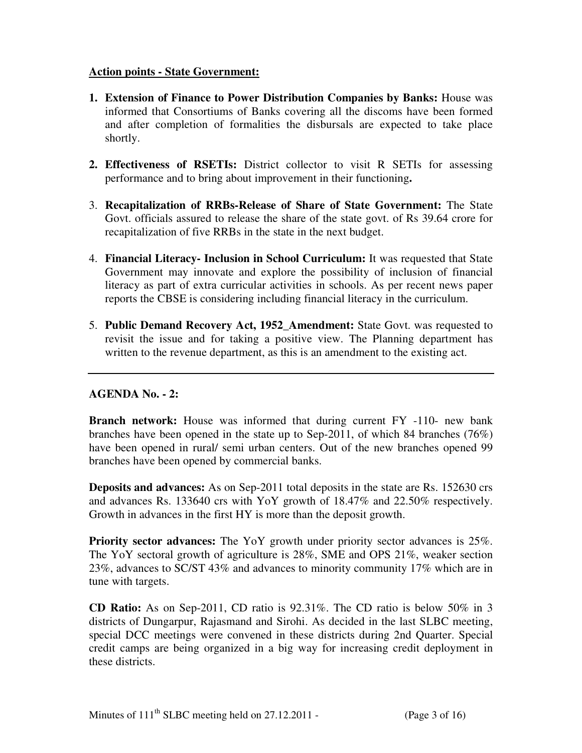## **Action points - State Government:**

- **1. Extension of Finance to Power Distribution Companies by Banks:** House was informed that Consortiums of Banks covering all the discoms have been formed and after completion of formalities the disbursals are expected to take place shortly.
- **2. Effectiveness of RSETIs:** District collector to visit R SETIs for assessing performance and to bring about improvement in their functioning**.**
- 3. **Recapitalization of RRBs-Release of Share of State Government:** The State Govt. officials assured to release the share of the state govt. of Rs 39.64 crore for recapitalization of five RRBs in the state in the next budget.
- 4. **Financial Literacy- Inclusion in School Curriculum:** It was requested that State Government may innovate and explore the possibility of inclusion of financial literacy as part of extra curricular activities in schools. As per recent news paper reports the CBSE is considering including financial literacy in the curriculum.
- 5. **Public Demand Recovery Act, 1952\_Amendment:** State Govt. was requested to revisit the issue and for taking a positive view. The Planning department has written to the revenue department, as this is an amendment to the existing act.

## **AGENDA No. - 2:**

**Branch network:** House was informed that during current FY -110- new bank branches have been opened in the state up to Sep-2011, of which 84 branches (76%) have been opened in rural/ semi urban centers. Out of the new branches opened 99 branches have been opened by commercial banks.

**Deposits and advances:** As on Sep-2011 total deposits in the state are Rs. 152630 crs and advances Rs. 133640 crs with YoY growth of 18.47% and 22.50% respectively. Growth in advances in the first HY is more than the deposit growth.

**Priority sector advances:** The YoY growth under priority sector advances is 25%. The YoY sectoral growth of agriculture is 28%, SME and OPS 21%, weaker section 23%, advances to SC/ST 43% and advances to minority community 17% which are in tune with targets.

**CD Ratio:** As on Sep-2011, CD ratio is 92.31%. The CD ratio is below 50% in 3 districts of Dungarpur, Rajasmand and Sirohi. As decided in the last SLBC meeting, special DCC meetings were convened in these districts during 2nd Quarter. Special credit camps are being organized in a big way for increasing credit deployment in these districts.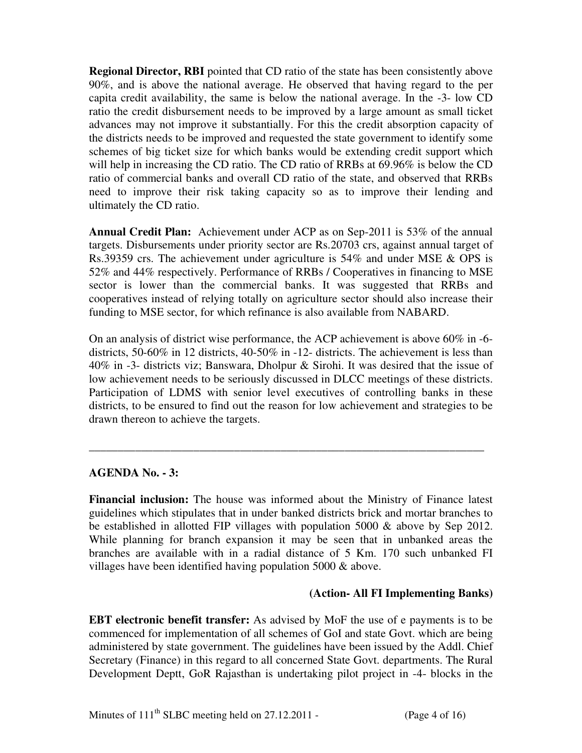**Regional Director, RBI** pointed that CD ratio of the state has been consistently above 90%, and is above the national average. He observed that having regard to the per capita credit availability, the same is below the national average. In the -3- low CD ratio the credit disbursement needs to be improved by a large amount as small ticket advances may not improve it substantially. For this the credit absorption capacity of the districts needs to be improved and requested the state government to identify some schemes of big ticket size for which banks would be extending credit support which will help in increasing the CD ratio. The CD ratio of RRBs at 69.96% is below the CD ratio of commercial banks and overall CD ratio of the state, and observed that RRBs need to improve their risk taking capacity so as to improve their lending and ultimately the CD ratio.

**Annual Credit Plan:** Achievement under ACP as on Sep-2011 is 53% of the annual targets. Disbursements under priority sector are Rs.20703 crs, against annual target of Rs.39359 crs. The achievement under agriculture is 54% and under MSE & OPS is 52% and 44% respectively. Performance of RRBs / Cooperatives in financing to MSE sector is lower than the commercial banks. It was suggested that RRBs and cooperatives instead of relying totally on agriculture sector should also increase their funding to MSE sector, for which refinance is also available from NABARD.

On an analysis of district wise performance, the ACP achievement is above 60% in -6 districts, 50-60% in 12 districts, 40-50% in -12- districts. The achievement is less than 40% in -3- districts viz; Banswara, Dholpur & Sirohi. It was desired that the issue of low achievement needs to be seriously discussed in DLCC meetings of these districts. Participation of LDMS with senior level executives of controlling banks in these districts, to be ensured to find out the reason for low achievement and strategies to be drawn thereon to achieve the targets.

**\_\_\_\_\_\_\_\_\_\_\_\_\_\_\_\_\_\_\_\_\_\_\_\_\_\_\_\_\_\_\_\_\_\_\_\_\_\_\_\_\_\_\_\_\_\_\_\_\_\_\_\_\_\_\_\_\_\_\_\_\_\_\_\_\_\_\_\_** 

## **AGENDA No. - 3:**

**Financial inclusion:** The house was informed about the Ministry of Finance latest guidelines which stipulates that in under banked districts brick and mortar branches to be established in allotted FIP villages with population 5000 & above by Sep 2012. While planning for branch expansion it may be seen that in unbanked areas the branches are available with in a radial distance of 5 Km. 170 such unbanked FI villages have been identified having population  $5000 \&$  above.

## **(Action- All FI Implementing Banks)**

**EBT electronic benefit transfer:** As advised by MoF the use of e payments is to be commenced for implementation of all schemes of GoI and state Govt. which are being administered by state government. The guidelines have been issued by the Addl. Chief Secretary (Finance) in this regard to all concerned State Govt. departments. The Rural Development Deptt, GoR Rajasthan is undertaking pilot project in -4- blocks in the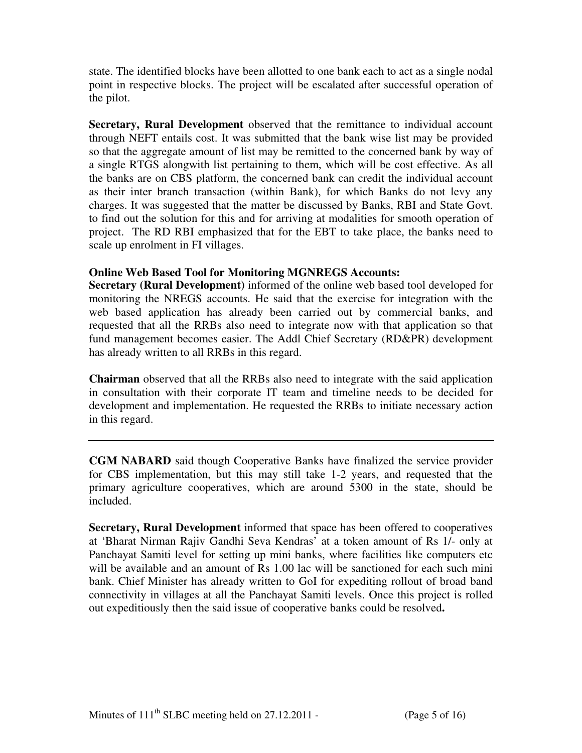state. The identified blocks have been allotted to one bank each to act as a single nodal point in respective blocks. The project will be escalated after successful operation of the pilot.

**Secretary, Rural Development** observed that the remittance to individual account through NEFT entails cost. It was submitted that the bank wise list may be provided so that the aggregate amount of list may be remitted to the concerned bank by way of a single RTGS alongwith list pertaining to them, which will be cost effective. As all the banks are on CBS platform, the concerned bank can credit the individual account as their inter branch transaction (within Bank), for which Banks do not levy any charges. It was suggested that the matter be discussed by Banks, RBI and State Govt. to find out the solution for this and for arriving at modalities for smooth operation of project. The RD RBI emphasized that for the EBT to take place, the banks need to scale up enrolment in FI villages.

## **Online Web Based Tool for Monitoring MGNREGS Accounts:**

**Secretary (Rural Development)** informed of the online web based tool developed for monitoring the NREGS accounts. He said that the exercise for integration with the web based application has already been carried out by commercial banks, and requested that all the RRBs also need to integrate now with that application so that fund management becomes easier. The Addl Chief Secretary (RD&PR) development has already written to all RRBs in this regard.

**Chairman** observed that all the RRBs also need to integrate with the said application in consultation with their corporate IT team and timeline needs to be decided for development and implementation. He requested the RRBs to initiate necessary action in this regard.

**CGM NABARD** said though Cooperative Banks have finalized the service provider for CBS implementation, but this may still take 1-2 years, and requested that the primary agriculture cooperatives, which are around 5300 in the state, should be included.

**Secretary, Rural Development** informed that space has been offered to cooperatives at 'Bharat Nirman Rajiv Gandhi Seva Kendras' at a token amount of Rs 1/- only at Panchayat Samiti level for setting up mini banks, where facilities like computers etc will be available and an amount of Rs 1.00 lac will be sanctioned for each such mini bank. Chief Minister has already written to GoI for expediting rollout of broad band connectivity in villages at all the Panchayat Samiti levels. Once this project is rolled out expeditiously then the said issue of cooperative banks could be resolved**.**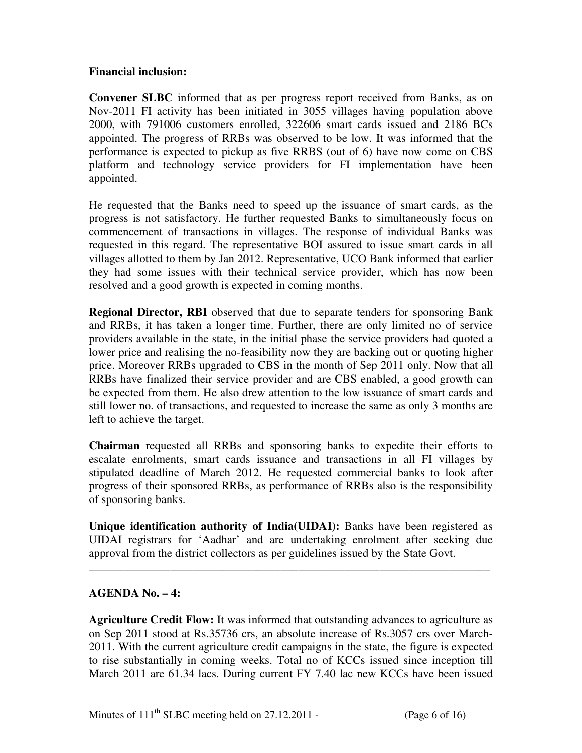## **Financial inclusion:**

**Convener SLBC** informed that as per progress report received from Banks, as on Nov-2011 FI activity has been initiated in 3055 villages having population above 2000, with 791006 customers enrolled, 322606 smart cards issued and 2186 BCs appointed. The progress of RRBs was observed to be low. It was informed that the performance is expected to pickup as five RRBS (out of 6) have now come on CBS platform and technology service providers for FI implementation have been appointed.

He requested that the Banks need to speed up the issuance of smart cards, as the progress is not satisfactory. He further requested Banks to simultaneously focus on commencement of transactions in villages. The response of individual Banks was requested in this regard. The representative BOI assured to issue smart cards in all villages allotted to them by Jan 2012. Representative, UCO Bank informed that earlier they had some issues with their technical service provider, which has now been resolved and a good growth is expected in coming months.

**Regional Director, RBI** observed that due to separate tenders for sponsoring Bank and RRBs, it has taken a longer time. Further, there are only limited no of service providers available in the state, in the initial phase the service providers had quoted a lower price and realising the no-feasibility now they are backing out or quoting higher price. Moreover RRBs upgraded to CBS in the month of Sep 2011 only. Now that all RRBs have finalized their service provider and are CBS enabled, a good growth can be expected from them. He also drew attention to the low issuance of smart cards and still lower no. of transactions, and requested to increase the same as only 3 months are left to achieve the target.

**Chairman** requested all RRBs and sponsoring banks to expedite their efforts to escalate enrolments, smart cards issuance and transactions in all FI villages by stipulated deadline of March 2012. He requested commercial banks to look after progress of their sponsored RRBs, as performance of RRBs also is the responsibility of sponsoring banks.

**Unique identification authority of India(UIDAI):** Banks have been registered as UIDAI registrars for 'Aadhar' and are undertaking enrolment after seeking due approval from the district collectors as per guidelines issued by the State Govt.

\_\_\_\_\_\_\_\_\_\_\_\_\_\_\_\_\_\_\_\_\_\_\_\_\_\_\_\_\_\_\_\_\_\_\_\_\_\_\_\_\_\_\_\_\_\_\_\_\_\_\_\_\_\_\_\_\_\_\_\_\_\_\_\_\_\_\_\_\_

## **AGENDA No. – 4:**

**Agriculture Credit Flow:** It was informed that outstanding advances to agriculture as on Sep 2011 stood at Rs.35736 crs, an absolute increase of Rs.3057 crs over March-2011. With the current agriculture credit campaigns in the state, the figure is expected to rise substantially in coming weeks. Total no of KCCs issued since inception till March 2011 are 61.34 lacs. During current FY 7.40 lac new KCCs have been issued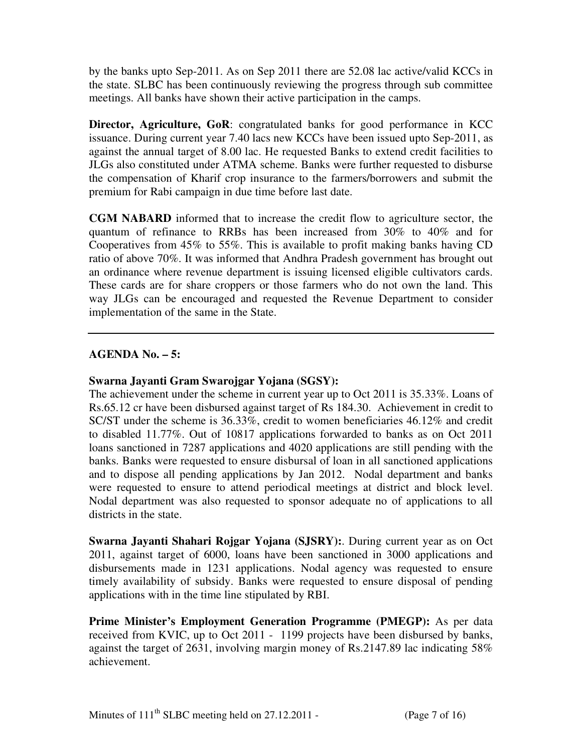by the banks upto Sep-2011. As on Sep 2011 there are 52.08 lac active/valid KCCs in the state. SLBC has been continuously reviewing the progress through sub committee meetings. All banks have shown their active participation in the camps.

**Director, Agriculture, GoR**: congratulated banks for good performance in KCC issuance. During current year 7.40 lacs new KCCs have been issued upto Sep-2011, as against the annual target of 8.00 lac. He requested Banks to extend credit facilities to JLGs also constituted under ATMA scheme. Banks were further requested to disburse the compensation of Kharif crop insurance to the farmers/borrowers and submit the premium for Rabi campaign in due time before last date.

**CGM NABARD** informed that to increase the credit flow to agriculture sector, the quantum of refinance to RRBs has been increased from 30% to 40% and for Cooperatives from 45% to 55%. This is available to profit making banks having CD ratio of above 70%. It was informed that Andhra Pradesh government has brought out an ordinance where revenue department is issuing licensed eligible cultivators cards. These cards are for share croppers or those farmers who do not own the land. This way JLGs can be encouraged and requested the Revenue Department to consider implementation of the same in the State.

## **AGENDA No. – 5:**

## **Swarna Jayanti Gram Swarojgar Yojana (SGSY):**

The achievement under the scheme in current year up to Oct 2011 is 35.33%. Loans of Rs.65.12 cr have been disbursed against target of Rs 184.30. Achievement in credit to SC/ST under the scheme is 36.33%, credit to women beneficiaries 46.12% and credit to disabled 11.77%. Out of 10817 applications forwarded to banks as on Oct 2011 loans sanctioned in 7287 applications and 4020 applications are still pending with the banks. Banks were requested to ensure disbursal of loan in all sanctioned applications and to dispose all pending applications by Jan 2012. Nodal department and banks were requested to ensure to attend periodical meetings at district and block level. Nodal department was also requested to sponsor adequate no of applications to all districts in the state.

**Swarna Jayanti Shahari Rojgar Yojana (SJSRY):**. During current year as on Oct 2011, against target of 6000, loans have been sanctioned in 3000 applications and disbursements made in 1231 applications. Nodal agency was requested to ensure timely availability of subsidy. Banks were requested to ensure disposal of pending applications with in the time line stipulated by RBI.

**Prime Minister's Employment Generation Programme (PMEGP):** As per data received from KVIC, up to Oct 2011 - 1199 projects have been disbursed by banks, against the target of 2631, involving margin money of Rs.2147.89 lac indicating 58% achievement.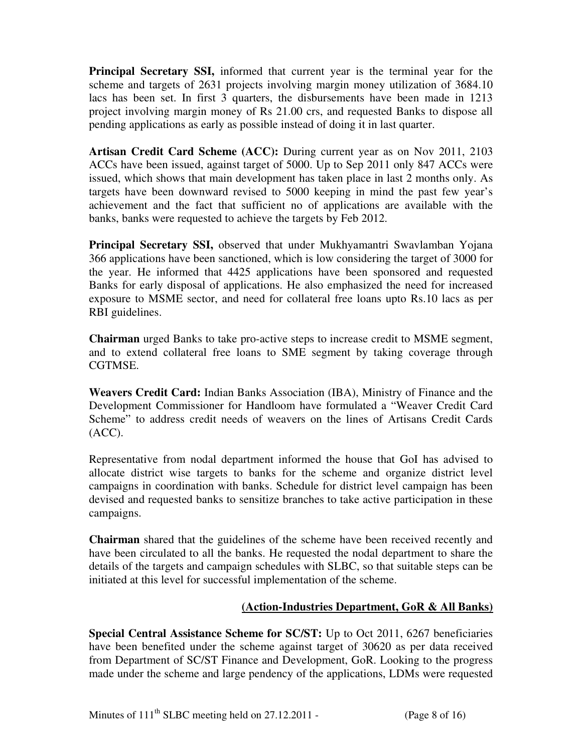**Principal Secretary SSI,** informed that current year is the terminal year for the scheme and targets of 2631 projects involving margin money utilization of 3684.10 lacs has been set. In first 3 quarters, the disbursements have been made in 1213 project involving margin money of Rs 21.00 crs, and requested Banks to dispose all pending applications as early as possible instead of doing it in last quarter.

**Artisan Credit Card Scheme (ACC):** During current year as on Nov 2011, 2103 ACCs have been issued, against target of 5000. Up to Sep 2011 only 847 ACCs were issued, which shows that main development has taken place in last 2 months only. As targets have been downward revised to 5000 keeping in mind the past few year's achievement and the fact that sufficient no of applications are available with the banks, banks were requested to achieve the targets by Feb 2012.

**Principal Secretary SSI,** observed that under Mukhyamantri Swavlamban Yojana 366 applications have been sanctioned, which is low considering the target of 3000 for the year. He informed that 4425 applications have been sponsored and requested Banks for early disposal of applications. He also emphasized the need for increased exposure to MSME sector, and need for collateral free loans upto Rs.10 lacs as per RBI guidelines.

**Chairman** urged Banks to take pro-active steps to increase credit to MSME segment, and to extend collateral free loans to SME segment by taking coverage through CGTMSE.

**Weavers Credit Card:** Indian Banks Association (IBA), Ministry of Finance and the Development Commissioner for Handloom have formulated a "Weaver Credit Card Scheme" to address credit needs of weavers on the lines of Artisans Credit Cards (ACC).

Representative from nodal department informed the house that GoI has advised to allocate district wise targets to banks for the scheme and organize district level campaigns in coordination with banks. Schedule for district level campaign has been devised and requested banks to sensitize branches to take active participation in these campaigns.

**Chairman** shared that the guidelines of the scheme have been received recently and have been circulated to all the banks. He requested the nodal department to share the details of the targets and campaign schedules with SLBC, so that suitable steps can be initiated at this level for successful implementation of the scheme.

## **(Action-Industries Department, GoR & All Banks)**

**Special Central Assistance Scheme for SC/ST:** Up to Oct 2011, 6267 beneficiaries have been benefited under the scheme against target of 30620 as per data received from Department of SC/ST Finance and Development, GoR. Looking to the progress made under the scheme and large pendency of the applications, LDMs were requested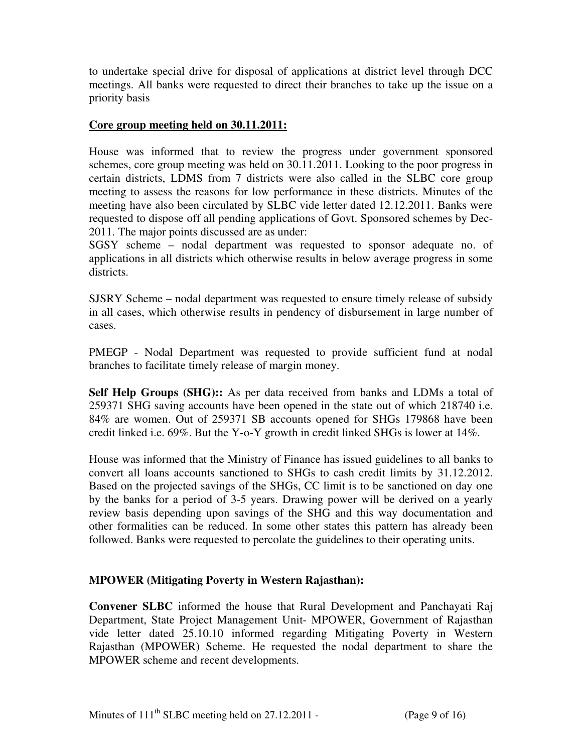to undertake special drive for disposal of applications at district level through DCC meetings. All banks were requested to direct their branches to take up the issue on a priority basis

## **Core group meeting held on 30.11.2011:**

House was informed that to review the progress under government sponsored schemes, core group meeting was held on 30.11.2011. Looking to the poor progress in certain districts, LDMS from 7 districts were also called in the SLBC core group meeting to assess the reasons for low performance in these districts. Minutes of the meeting have also been circulated by SLBC vide letter dated 12.12.2011. Banks were requested to dispose off all pending applications of Govt. Sponsored schemes by Dec-2011. The major points discussed are as under:

SGSY scheme – nodal department was requested to sponsor adequate no. of applications in all districts which otherwise results in below average progress in some districts.

SJSRY Scheme – nodal department was requested to ensure timely release of subsidy in all cases, which otherwise results in pendency of disbursement in large number of cases.

PMEGP - Nodal Department was requested to provide sufficient fund at nodal branches to facilitate timely release of margin money.

**Self Help Groups (SHG)::** As per data received from banks and LDMs a total of 259371 SHG saving accounts have been opened in the state out of which 218740 i.e. 84% are women. Out of 259371 SB accounts opened for SHGs 179868 have been credit linked i.e. 69%. But the Y-o-Y growth in credit linked SHGs is lower at 14%.

House was informed that the Ministry of Finance has issued guidelines to all banks to convert all loans accounts sanctioned to SHGs to cash credit limits by 31.12.2012. Based on the projected savings of the SHGs, CC limit is to be sanctioned on day one by the banks for a period of 3-5 years. Drawing power will be derived on a yearly review basis depending upon savings of the SHG and this way documentation and other formalities can be reduced. In some other states this pattern has already been followed. Banks were requested to percolate the guidelines to their operating units.

## **MPOWER (Mitigating Poverty in Western Rajasthan):**

**Convener SLBC** informed the house that Rural Development and Panchayati Raj Department, State Project Management Unit- MPOWER, Government of Rajasthan vide letter dated 25.10.10 informed regarding Mitigating Poverty in Western Rajasthan (MPOWER) Scheme. He requested the nodal department to share the MPOWER scheme and recent developments.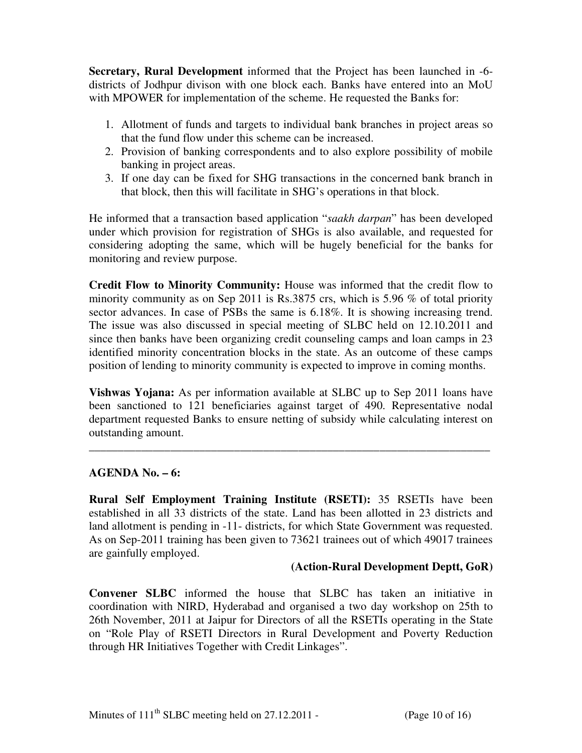**Secretary, Rural Development** informed that the Project has been launched in -6 districts of Jodhpur divison with one block each. Banks have entered into an MoU with MPOWER for implementation of the scheme. He requested the Banks for:

- 1. Allotment of funds and targets to individual bank branches in project areas so that the fund flow under this scheme can be increased.
- 2. Provision of banking correspondents and to also explore possibility of mobile banking in project areas.
- 3. If one day can be fixed for SHG transactions in the concerned bank branch in that block, then this will facilitate in SHG's operations in that block.

He informed that a transaction based application "*saakh darpan*" has been developed under which provision for registration of SHGs is also available, and requested for considering adopting the same, which will be hugely beneficial for the banks for monitoring and review purpose.

**Credit Flow to Minority Community:** House was informed that the credit flow to minority community as on Sep 2011 is Rs.3875 crs, which is 5.96 % of total priority sector advances. In case of PSBs the same is 6.18%. It is showing increasing trend. The issue was also discussed in special meeting of SLBC held on 12.10.2011 and since then banks have been organizing credit counseling camps and loan camps in 23 identified minority concentration blocks in the state. As an outcome of these camps position of lending to minority community is expected to improve in coming months.

**Vishwas Yojana:** As per information available at SLBC up to Sep 2011 loans have been sanctioned to 121 beneficiaries against target of 490. Representative nodal department requested Banks to ensure netting of subsidy while calculating interest on outstanding amount.

**\_\_\_\_\_\_\_\_\_\_\_\_\_\_\_\_\_\_\_\_\_\_\_\_\_\_\_\_\_\_\_\_\_\_\_\_\_\_\_\_\_\_\_\_\_\_\_\_\_\_\_\_\_\_\_\_\_\_\_\_\_\_\_\_\_\_\_\_\_** 

## **AGENDA No. – 6:**

**Rural Self Employment Training Institute (RSETI):** 35 RSETIs have been established in all 33 districts of the state. Land has been allotted in 23 districts and land allotment is pending in -11- districts, for which State Government was requested. As on Sep-2011 training has been given to 73621 trainees out of which 49017 trainees are gainfully employed.

## **(Action-Rural Development Deptt, GoR)**

**Convener SLBC** informed the house that SLBC has taken an initiative in coordination with NIRD, Hyderabad and organised a two day workshop on 25th to 26th November, 2011 at Jaipur for Directors of all the RSETIs operating in the State on "Role Play of RSETI Directors in Rural Development and Poverty Reduction through HR Initiatives Together with Credit Linkages".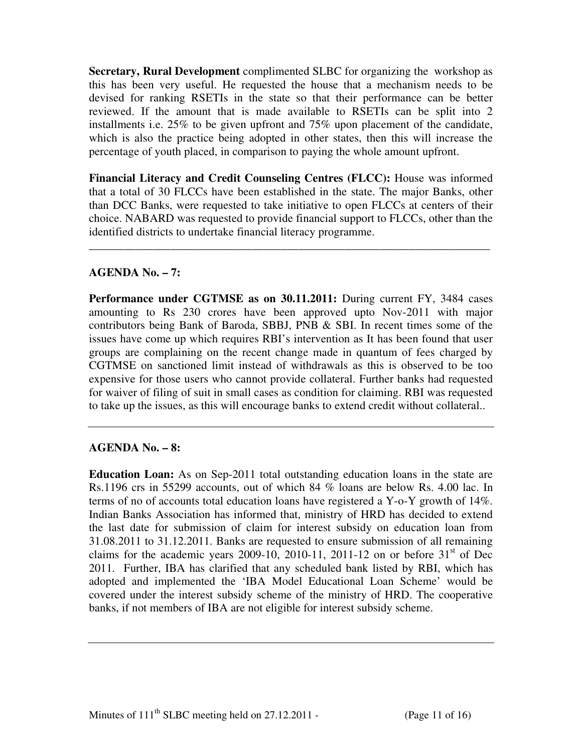**Secretary, Rural Development** complimented SLBC for organizing the workshop as this has been very useful. He requested the house that a mechanism needs to be devised for ranking RSETIs in the state so that their performance can be better reviewed. If the amount that is made available to RSETIs can be split into 2 installments i.e. 25% to be given upfront and 75% upon placement of the candidate, which is also the practice being adopted in other states, then this will increase the percentage of youth placed, in comparison to paying the whole amount upfront.

**Financial Literacy and Credit Counseling Centres (FLCC):** House was informed that a total of 30 FLCCs have been established in the state. The major Banks, other than DCC Banks, were requested to take initiative to open FLCCs at centers of their choice. NABARD was requested to provide financial support to FLCCs, other than the identified districts to undertake financial literacy programme.

\_\_\_\_\_\_\_\_\_\_\_\_\_\_\_\_\_\_\_\_\_\_\_\_\_\_\_\_\_\_\_\_\_\_\_\_\_\_\_\_\_\_\_\_\_\_\_\_\_\_\_\_\_\_\_\_\_\_\_\_\_\_\_\_\_\_\_\_\_

## **AGENDA No. – 7:**

**Performance under CGTMSE as on 30.11.2011:** During current FY, 3484 cases amounting to Rs 230 crores have been approved upto Nov-2011 with major contributors being Bank of Baroda, SBBJ, PNB & SBI. In recent times some of the issues have come up which requires RBI's intervention as It has been found that user groups are complaining on the recent change made in quantum of fees charged by CGTMSE on sanctioned limit instead of withdrawals as this is observed to be too expensive for those users who cannot provide collateral. Further banks had requested for waiver of filing of suit in small cases as condition for claiming. RBI was requested to take up the issues, as this will encourage banks to extend credit without collateral..

## **AGENDA No. – 8:**

**Education Loan:** As on Sep-2011 total outstanding education loans in the state are Rs.1196 crs in 55299 accounts, out of which 84 % loans are below Rs. 4.00 lac. In terms of no of accounts total education loans have registered a Y-o-Y growth of 14%. Indian Banks Association has informed that, ministry of HRD has decided to extend the last date for submission of claim for interest subsidy on education loan from 31.08.2011 to 31.12.2011. Banks are requested to ensure submission of all remaining claims for the academic years 2009-10, 2010-11, 2011-12 on or before  $31<sup>st</sup>$  of Dec 2011. Further, IBA has clarified that any scheduled bank listed by RBI, which has adopted and implemented the 'IBA Model Educational Loan Scheme' would be covered under the interest subsidy scheme of the ministry of HRD. The cooperative banks, if not members of IBA are not eligible for interest subsidy scheme.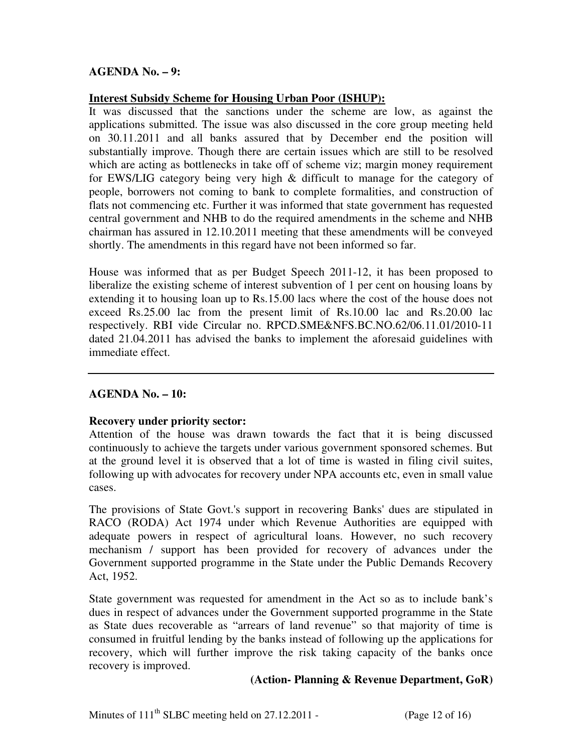## **AGENDA No. – 9:**

## **Interest Subsidy Scheme for Housing Urban Poor (ISHUP):**

It was discussed that the sanctions under the scheme are low, as against the applications submitted. The issue was also discussed in the core group meeting held on 30.11.2011 and all banks assured that by December end the position will substantially improve. Though there are certain issues which are still to be resolved which are acting as bottlenecks in take off of scheme viz; margin money requirement for EWS/LIG category being very high & difficult to manage for the category of people, borrowers not coming to bank to complete formalities, and construction of flats not commencing etc. Further it was informed that state government has requested central government and NHB to do the required amendments in the scheme and NHB chairman has assured in 12.10.2011 meeting that these amendments will be conveyed shortly. The amendments in this regard have not been informed so far.

House was informed that as per Budget Speech 2011-12, it has been proposed to liberalize the existing scheme of interest subvention of 1 per cent on housing loans by extending it to housing loan up to Rs.15.00 lacs where the cost of the house does not exceed Rs.25.00 lac from the present limit of Rs.10.00 lac and Rs.20.00 lac respectively. RBI vide Circular no. RPCD.SME&NFS.BC.NO.62/06.11.01/2010-11 dated 21.04.2011 has advised the banks to implement the aforesaid guidelines with immediate effect.

## **AGENDA No. – 10:**

## **Recovery under priority sector:**

Attention of the house was drawn towards the fact that it is being discussed continuously to achieve the targets under various government sponsored schemes. But at the ground level it is observed that a lot of time is wasted in filing civil suites, following up with advocates for recovery under NPA accounts etc, even in small value cases.

The provisions of State Govt.'s support in recovering Banks' dues are stipulated in RACO (RODA) Act 1974 under which Revenue Authorities are equipped with adequate powers in respect of agricultural loans. However, no such recovery mechanism / support has been provided for recovery of advances under the Government supported programme in the State under the Public Demands Recovery Act, 1952.

State government was requested for amendment in the Act so as to include bank's dues in respect of advances under the Government supported programme in the State as State dues recoverable as "arrears of land revenue" so that majority of time is consumed in fruitful lending by the banks instead of following up the applications for recovery, which will further improve the risk taking capacity of the banks once recovery is improved.

## **(Action- Planning & Revenue Department, GoR)**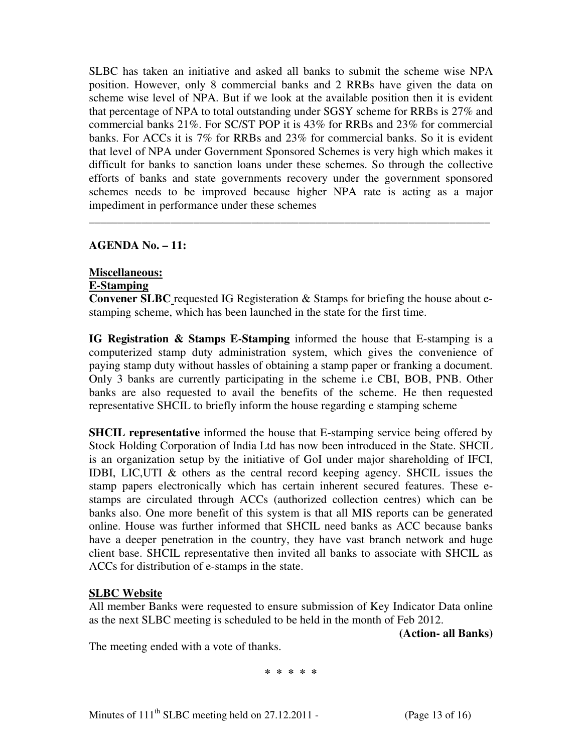SLBC has taken an initiative and asked all banks to submit the scheme wise NPA position. However, only 8 commercial banks and 2 RRBs have given the data on scheme wise level of NPA. But if we look at the available position then it is evident that percentage of NPA to total outstanding under SGSY scheme for RRBs is 27% and commercial banks 21%. For SC/ST POP it is 43% for RRBs and 23% for commercial banks. For ACCs it is 7% for RRBs and 23% for commercial banks. So it is evident that level of NPA under Government Sponsored Schemes is very high which makes it difficult for banks to sanction loans under these schemes. So through the collective efforts of banks and state governments recovery under the government sponsored schemes needs to be improved because higher NPA rate is acting as a major impediment in performance under these schemes

\_\_\_\_\_\_\_\_\_\_\_\_\_\_\_\_\_\_\_\_\_\_\_\_\_\_\_\_\_\_\_\_\_\_\_\_\_\_\_\_\_\_\_\_\_\_\_\_\_\_\_\_\_\_\_\_\_\_\_\_\_\_\_\_\_\_\_\_\_

**AGENDA No. – 11:** 

## **Miscellaneous:**

## **E-Stamping**

**Convener SLBC** requested IG Registeration & Stamps for briefing the house about estamping scheme, which has been launched in the state for the first time.

**IG Registration & Stamps E-Stamping** informed the house that E-stamping is a computerized stamp duty administration system, which gives the convenience of paying stamp duty without hassles of obtaining a stamp paper or franking a document. Only 3 banks are currently participating in the scheme i.e CBI, BOB, PNB. Other banks are also requested to avail the benefits of the scheme. He then requested representative SHCIL to briefly inform the house regarding e stamping scheme

**SHCIL representative** informed the house that E-stamping service being offered by Stock Holding Corporation of India Ltd has now been introduced in the State. SHCIL is an organization setup by the initiative of GoI under major shareholding of IFCI, IDBI, LIC,UTI & others as the central record keeping agency. SHCIL issues the stamp papers electronically which has certain inherent secured features. These estamps are circulated through ACCs (authorized collection centres) which can be banks also. One more benefit of this system is that all MIS reports can be generated online. House was further informed that SHCIL need banks as ACC because banks have a deeper penetration in the country, they have vast branch network and huge client base. SHCIL representative then invited all banks to associate with SHCIL as ACCs for distribution of e-stamps in the state.

## **SLBC Website**

All member Banks were requested to ensure submission of Key Indicator Data online as the next SLBC meeting is scheduled to be held in the month of Feb 2012.

**(Action- all Banks)** 

The meeting ended with a vote of thanks.

**\* \* \* \* \***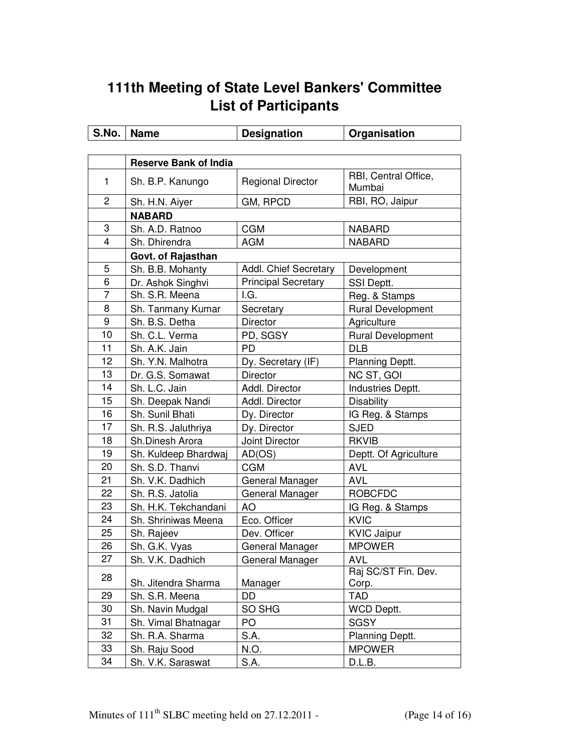# **111th Meeting of State Level Bankers' Committee List of Participants**

| S.No.          | <b>Name</b>                  | <b>Designation</b>         | Organisation                   |  |  |  |
|----------------|------------------------------|----------------------------|--------------------------------|--|--|--|
|                |                              |                            |                                |  |  |  |
|                | <b>Reserve Bank of India</b> |                            |                                |  |  |  |
| 1              | Sh. B.P. Kanungo             | <b>Regional Director</b>   | RBI, Central Office,<br>Mumbai |  |  |  |
| 2              | Sh. H.N. Aiyer               | GM, RPCD                   | RBI, RO, Jaipur                |  |  |  |
|                | <b>NABARD</b>                |                            |                                |  |  |  |
| 3              | Sh. A.D. Ratnoo              | <b>CGM</b>                 | <b>NABARD</b>                  |  |  |  |
| $\overline{4}$ | Sh. Dhirendra                | <b>AGM</b>                 | <b>NABARD</b>                  |  |  |  |
|                | Govt. of Rajasthan           |                            |                                |  |  |  |
| 5              | Sh. B.B. Mohanty             | Addl. Chief Secretary      | Development                    |  |  |  |
| 6              | Dr. Ashok Singhvi            | <b>Principal Secretary</b> | SSI Deptt.                     |  |  |  |
| 7              | Sh. S.R. Meena               | I.G.                       | Reg. & Stamps                  |  |  |  |
| 8              | Sh. Tanmany Kumar            | Secretary                  | <b>Rural Development</b>       |  |  |  |
| 9              | Sh. B.S. Detha               | <b>Director</b>            | Agriculture                    |  |  |  |
| 10             | Sh. C.L. Verma               | PD, SGSY                   | <b>Rural Development</b>       |  |  |  |
| 11             | Sh. A.K. Jain                | <b>PD</b>                  | <b>DLB</b>                     |  |  |  |
| 12             | Sh. Y.N. Malhotra            | Dy. Secretary (IF)         | Planning Deptt.                |  |  |  |
| 13             | Dr. G.S. Somawat             | <b>Director</b>            | NC ST, GOI                     |  |  |  |
| 14             | Sh. L.C. Jain                | Addl. Director             | Industries Deptt.              |  |  |  |
| 15             | Sh. Deepak Nandi             | Addl. Director             | <b>Disability</b>              |  |  |  |
| 16             | Sh. Sunil Bhati              | Dy. Director               | IG Reg. & Stamps               |  |  |  |
| 17             | Sh. R.S. Jaluthriya          | Dy. Director               | <b>SJED</b>                    |  |  |  |
| 18             | Sh.Dinesh Arora              | Joint Director             | <b>RKVIB</b>                   |  |  |  |
| 19             | Sh. Kuldeep Bhardwaj         | AD(OS)                     | Deptt. Of Agriculture          |  |  |  |
| 20             | Sh. S.D. Thanvi              | <b>CGM</b>                 | <b>AVL</b>                     |  |  |  |
| 21             | Sh. V.K. Dadhich             | General Manager            | <b>AVL</b>                     |  |  |  |
| 22             | Sh. R.S. Jatolia             | General Manager            | <b>ROBCFDC</b>                 |  |  |  |
| 23             | Sh. H.K. Tekchandani         | AO                         | IG Reg. & Stamps               |  |  |  |
| 24             | Sh. Shriniwas Meena          | Eco. Officer               | <b>KVIC</b>                    |  |  |  |
| 25             | Sh. Rajeev                   | Dev. Officer               | <b>KVIC Jaipur</b>             |  |  |  |
| 26             | Sh. G.K. Vyas                | General Manager            | <b>MPOWER</b>                  |  |  |  |
| 27             | Sh. V.K. Dadhich             | General Manager            | <b>AVL</b>                     |  |  |  |
| 28             | Sh. Jitendra Sharma          | Manager                    | Raj SC/ST Fin. Dev.<br>Corp.   |  |  |  |
| 29             | Sh. S.R. Meena               | DD                         | TAD                            |  |  |  |
| 30             | Sh. Navin Mudgal             | SO SHG                     | WCD Deptt.                     |  |  |  |
| 31             | Sh. Vimal Bhatnagar          | PO                         | <b>SGSY</b>                    |  |  |  |
| 32             | Sh. R.A. Sharma              | S.A.                       | Planning Deptt.                |  |  |  |
| 33             | Sh. Raju Sood                | N.O.                       | <b>MPOWER</b>                  |  |  |  |
| 34             | Sh. V.K. Saraswat            | S.A.                       | D.L.B.                         |  |  |  |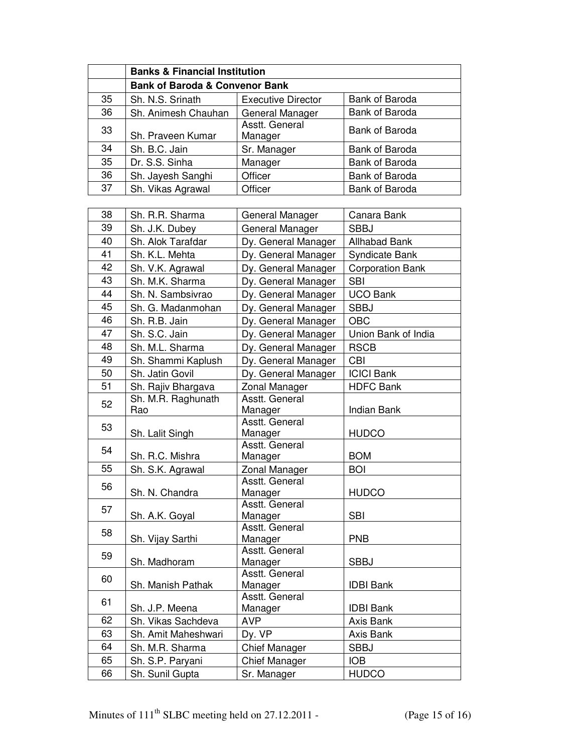|                                           | <b>Banks &amp; Financial Institution</b> |                           |                         |  |  |
|-------------------------------------------|------------------------------------------|---------------------------|-------------------------|--|--|
| <b>Bank of Baroda &amp; Convenor Bank</b> |                                          |                           |                         |  |  |
| 35                                        | Sh. N.S. Srinath                         | <b>Executive Director</b> | Bank of Baroda          |  |  |
| 36                                        | Sh. Animesh Chauhan                      | General Manager           | Bank of Baroda          |  |  |
| 33                                        | Sh. Praveen Kumar                        | Asstt. General<br>Manager | Bank of Baroda          |  |  |
| 34                                        | Sh. B.C. Jain                            | Sr. Manager               | Bank of Baroda          |  |  |
| 35                                        | Dr. S.S. Sinha                           | Manager                   | Bank of Baroda          |  |  |
| 36                                        | Sh. Jayesh Sanghi                        | Officer                   | Bank of Baroda          |  |  |
| 37                                        | Sh. Vikas Agrawal                        | Officer                   | Bank of Baroda          |  |  |
|                                           |                                          |                           |                         |  |  |
| 38                                        | Sh. R.R. Sharma                          | General Manager           | Canara Bank             |  |  |
| 39                                        | Sh. J.K. Dubey                           | General Manager           | <b>SBBJ</b>             |  |  |
| 40                                        | Sh. Alok Tarafdar                        | Dy. General Manager       | <b>Allhabad Bank</b>    |  |  |
| 41                                        | Sh. K.L. Mehta                           | Dy. General Manager       | Syndicate Bank          |  |  |
| 42                                        | Sh. V.K. Agrawal                         | Dy. General Manager       | <b>Corporation Bank</b> |  |  |
| 43                                        | Sh. M.K. Sharma                          | Dy. General Manager       | <b>SBI</b>              |  |  |
| 44                                        | Sh. N. Sambsivrao                        | Dy. General Manager       | <b>UCO Bank</b>         |  |  |
| 45                                        | Sh. G. Madanmohan                        | Dy. General Manager       | <b>SBBJ</b>             |  |  |
| 46                                        | Sh. R.B. Jain                            | Dy. General Manager       | <b>OBC</b>              |  |  |
| 47                                        | Sh. S.C. Jain                            | Dy. General Manager       | Union Bank of India     |  |  |
| 48                                        | Sh. M.L. Sharma                          | Dy. General Manager       | <b>RSCB</b>             |  |  |
| 49                                        | Sh. Shammi Kaplush                       | Dy. General Manager       | <b>CBI</b>              |  |  |
| 50                                        | Sh. Jatin Govil                          | Dy. General Manager       | <b>ICICI Bank</b>       |  |  |
| 51                                        | Sh. Rajiv Bhargava                       | Zonal Manager             | <b>HDFC Bank</b>        |  |  |
| 52                                        | Sh. M.R. Raghunath<br>Rao                | Asstt. General<br>Manager | <b>Indian Bank</b>      |  |  |
| 53                                        | Sh. Lalit Singh                          | Asstt. General<br>Manager | <b>HUDCO</b>            |  |  |
| 54                                        | Sh. R.C. Mishra                          | Asstt. General<br>Manager | <b>BOM</b>              |  |  |
| 55                                        | Sh. S.K. Agrawal                         | Zonal Manager             | <b>BOI</b>              |  |  |
| 56                                        | Sh. N. Chandra                           | Asstt. General<br>Manager | <b>HUDCO</b>            |  |  |
| 57                                        | Sh. A.K. Goyal                           | Asstt. General<br>Manager | <b>SBI</b>              |  |  |
| 58                                        | Sh. Vijay Sarthi                         | Asstt. General<br>Manager | <b>PNB</b>              |  |  |
| 59                                        | Sh. Madhoram                             | Asstt. General<br>Manager | <b>SBBJ</b>             |  |  |
| 60                                        | Sh. Manish Pathak                        | Asstt. General<br>Manager | <b>IDBI Bank</b>        |  |  |
| 61                                        | Sh. J.P. Meena                           | Asstt. General<br>Manager | <b>IDBI Bank</b>        |  |  |
| 62                                        | Sh. Vikas Sachdeva                       | <b>AVP</b>                | Axis Bank               |  |  |
| 63                                        | Sh. Amit Maheshwari                      | Dy. VP                    | Axis Bank               |  |  |
| 64                                        | Sh. M.R. Sharma                          | Chief Manager             | <b>SBBJ</b>             |  |  |
| 65                                        | Sh. S.P. Paryani                         | Chief Manager             | <b>IOB</b>              |  |  |
| 66                                        | Sh. Sunil Gupta                          | Sr. Manager               | <b>HUDCO</b>            |  |  |